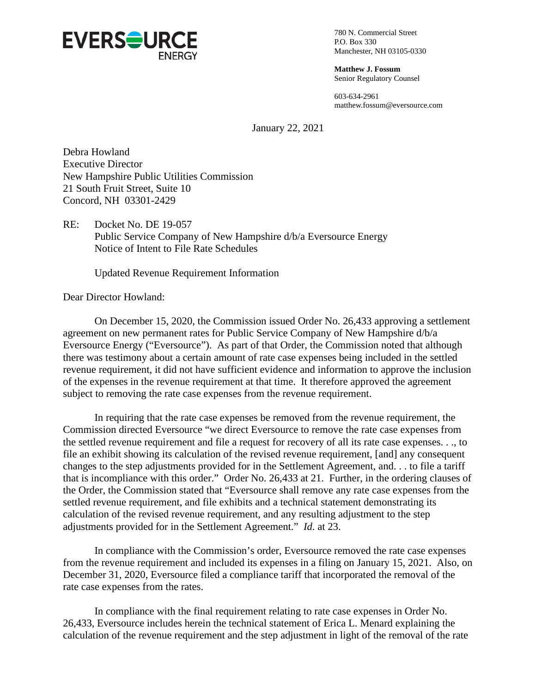

780 N. Commercial Street P.O. Box 330 Manchester, NH 03105-0330

**Matthew J. Fossum** Senior Regulatory Counsel

603-634-2961 matthew.fossum@eversource.com

January 22, 2021

Debra Howland Executive Director New Hampshire Public Utilities Commission 21 South Fruit Street, Suite 10 Concord, NH 03301-2429

RE: Docket No. DE 19-057 Public Service Company of New Hampshire d/b/a Eversource Energy Notice of Intent to File Rate Schedules

Updated Revenue Requirement Information

Dear Director Howland:

On December 15, 2020, the Commission issued Order No. 26,433 approving a settlement agreement on new permanent rates for Public Service Company of New Hampshire d/b/a Eversource Energy ("Eversource"). As part of that Order, the Commission noted that although there was testimony about a certain amount of rate case expenses being included in the settled revenue requirement, it did not have sufficient evidence and information to approve the inclusion of the expenses in the revenue requirement at that time. It therefore approved the agreement subject to removing the rate case expenses from the revenue requirement.

In requiring that the rate case expenses be removed from the revenue requirement, the Commission directed Eversource "we direct Eversource to remove the rate case expenses from the settled revenue requirement and file a request for recovery of all its rate case expenses. . ., to file an exhibit showing its calculation of the revised revenue requirement, [and] any consequent changes to the step adjustments provided for in the Settlement Agreement, and. . . to file a tariff that is incompliance with this order." Order No. 26,433 at 21. Further, in the ordering clauses of the Order, the Commission stated that "Eversource shall remove any rate case expenses from the settled revenue requirement, and file exhibits and a technical statement demonstrating its calculation of the revised revenue requirement, and any resulting adjustment to the step adjustments provided for in the Settlement Agreement." *Id*. at 23.

In compliance with the Commission's order, Eversource removed the rate case expenses from the revenue requirement and included its expenses in a filing on January 15, 2021. Also, on December 31, 2020, Eversource filed a compliance tariff that incorporated the removal of the rate case expenses from the rates.

In compliance with the final requirement relating to rate case expenses in Order No. 26,433, Eversource includes herein the technical statement of Erica L. Menard explaining the calculation of the revenue requirement and the step adjustment in light of the removal of the rate